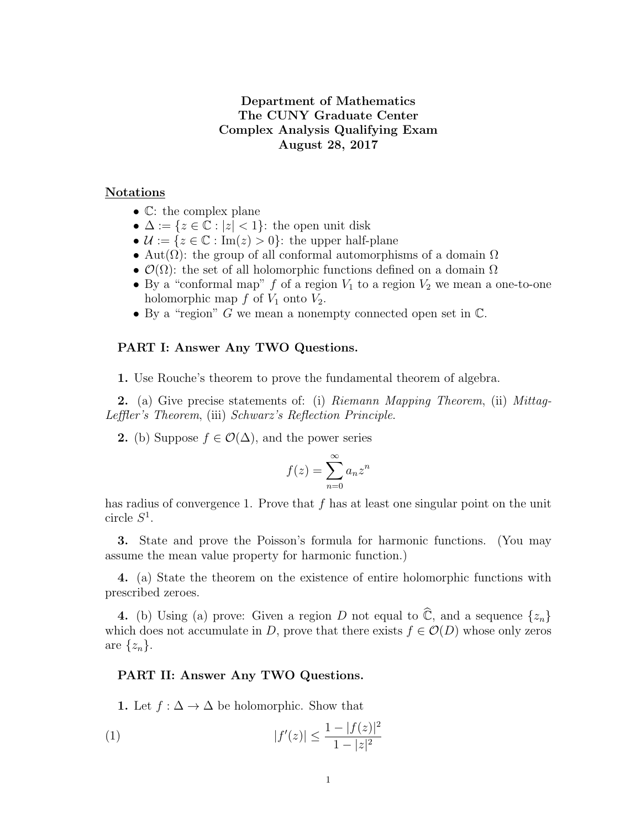# Department of Mathematics The CUNY Graduate Center Complex Analysis Qualifying Exam August 28, 2017

## Notations

- C: the complex plane
- $\Delta := \{z \in \mathbb{C} : |z| < 1\}$ : the open unit disk
- $\mathcal{U} := \{z \in \mathbb{C} : \text{Im}(z) > 0\}$ : the upper half-plane
- Aut $(\Omega)$ : the group of all conformal automorphisms of a domain  $\Omega$
- $\mathcal{O}(\Omega)$ : the set of all holomorphic functions defined on a domain  $\Omega$
- By a "conformal map" f of a region  $V_1$  to a region  $V_2$  we mean a one-to-one holomorphic map  $f$  of  $V_1$  onto  $V_2$ .
- By a "region" G we mean a nonempty connected open set in C.

#### PART I: Answer Any TWO Questions.

1. Use Rouche's theorem to prove the fundamental theorem of algebra.

**2.** (a) Give precise statements of: (i) Riemann Mapping Theorem, (ii) Mittag-Leffler's Theorem, (iii) Schwarz's Reflection Principle.

2. (b) Suppose  $f \in \mathcal{O}(\Delta)$ , and the power series

$$
f(z) = \sum_{n=0}^{\infty} a_n z^n
$$

has radius of convergence 1. Prove that  $f$  has at least one singular point on the unit circle  $S^1$ .

3. State and prove the Poisson's formula for harmonic functions. (You may assume the mean value property for harmonic function.)

4. (a) State the theorem on the existence of entire holomorphic functions with prescribed zeroes.

4. (b) Using (a) prove: Given a region D not equal to  $\hat{\mathbb{C}}$ , and a sequence  $\{z_n\}$ which does not accumulate in D, prove that there exists  $f \in \mathcal{O}(D)$  whose only zeros are  $\{z_n\}.$ 

### PART II: Answer Any TWO Questions.

1. Let  $f : \Delta \to \Delta$  be holomorphic. Show that

(1) 
$$
|f'(z)| \le \frac{1 - |f(z)|^2}{1 - |z|^2}
$$